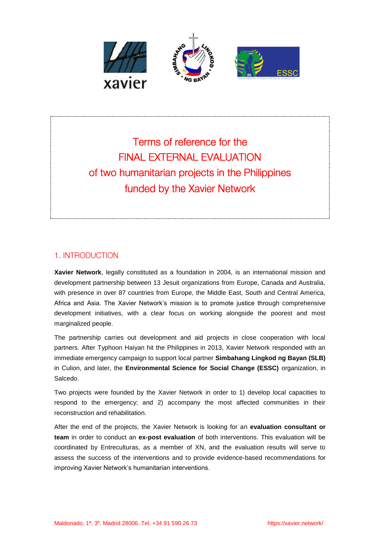

Terms of reference for the **FINAL EXTERNAL EVALUATION** of two humanitarian projects in the Philippines funded by the Xavier Network

### 1. INTRODUCTION

**Xavier Network**, legally constituted as a foundation in 2004, is an international mission and development partnership between 13 Jesuit organizations from Europe, Canada and Australia, with presence in over 87 countries from Europe, the Middle East, South and Central America, Africa and Asia. The Xavier Network's mission is to promote justice through comprehensive development initiatives, with a clear focus on working alongside the poorest and most marginalized people.

The partnership carries out development and aid projects in close cooperation with local partners. After Typhoon Haiyan hit the Philippines in 2013, Xavier Network responded with an immediate emergency campaign to support local partner **Simbahang Lingkod ng Bayan (SLB)** in Culion, and later, the **Environmental Science for Social Change (ESSC)** organization, in Salcedo.

Two projects were founded by the Xavier Network in order to 1) develop local capacities to respond to the emergency; and 2) accompany the most affected communities in their reconstruction and rehabilitation.

After the end of the projects, the Xavier Network is looking for an **evaluation consultant or team** in order to conduct an **ex-post evaluation** of both interventions. This evaluation will be coordinated by Entreculturas, as a member of XN, and the evaluation results will serve to assess the success of the interventions and to provide evidence-based recommendations for improving Xavier Network's humanitarian interventions.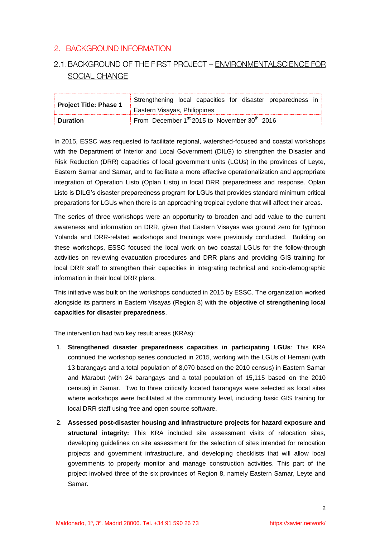### 2. BACKGROUND INFORMATION

# 2.1. BACKGROUND OF THE FIRST PROJECT - ENVIRONMENTALSCIENCE FOR SOCIAL CHANGE

| <b>Project Title: Phase 1</b> | Strengthening local capacities for disaster preparedness in          |
|-------------------------------|----------------------------------------------------------------------|
|                               | Eastern Visayas, Philippines                                         |
| <b>Duration</b>               | From December 1 <sup>st</sup> 2015 to November 30 <sup>th</sup> 2016 |

In 2015, ESSC was requested to facilitate regional, watershed-focused and coastal workshops with the Department of Interior and Local Government (DILG) to strengthen the Disaster and Risk Reduction (DRR) capacities of local government units (LGUs) in the provinces of Leyte, Eastern Samar and Samar, and to facilitate a more effective operationalization and appropriate integration of Operation Listo (Oplan Listo) in local DRR preparedness and response. Oplan Listo is DILG's disaster preparedness program for LGUs that provides standard minimum critical preparations for LGUs when there is an approaching tropical cyclone that will affect their areas.

The series of three workshops were an opportunity to broaden and add value to the current awareness and information on DRR, given that Eastern Visayas was ground zero for typhoon Yolanda and DRR-related workshops and trainings were previously conducted. Building on these workshops, ESSC focused the local work on two coastal LGUs for the follow-through activities on reviewing evacuation procedures and DRR plans and providing GIS training for local DRR staff to strengthen their capacities in integrating technical and socio-demographic information in their local DRR plans.

This initiative was built on the workshops conducted in 2015 by ESSC. The organization worked alongside its partners in Eastern Visayas (Region 8) with the **objective** of **strengthening local capacities for disaster preparedness**.

The intervention had two key result areas (KRAs):

- 1. **Strengthened disaster preparedness capacities in participating LGUs**: This KRA continued the workshop series conducted in 2015, working with the LGUs of Hernani (with 13 barangays and a total population of 8,070 based on the 2010 census) in Eastern Samar and Marabut (with 24 barangays and a total population of 15,115 based on the 2010 census) in Samar. Two to three critically located barangays were selected as focal sites where workshops were facilitated at the community level, including basic GIS training for local DRR staff using free and open source software.
- 2. **Assessed post-disaster housing and infrastructure projects for hazard exposure and structural integrity:** This KRA included site assessment visits of relocation sites, developing guidelines on site assessment for the selection of sites intended for relocation projects and government infrastructure, and developing checklists that will allow local governments to properly monitor and manage construction activities. This part of the project involved three of the six provinces of Region 8, namely Eastern Samar, Leyte and Samar.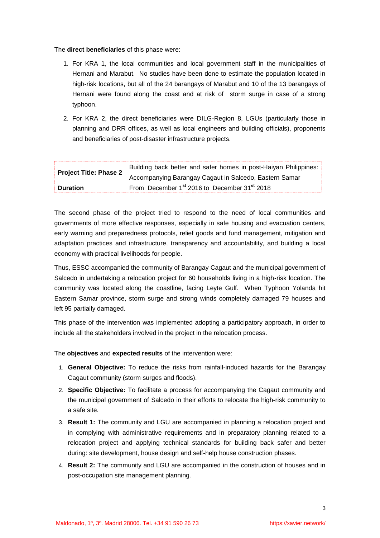The **direct beneficiaries** of this phase were:

- 1. For KRA 1, the local communities and local government staff in the municipalities of Hernani and Marabut. No studies have been done to estimate the population located in high-risk locations, but all of the 24 barangays of Marabut and 10 of the 13 barangays of Hernani were found along the coast and at risk of storm surge in case of a strong typhoon.
- 2. For KRA 2, the direct beneficiaries were DILG-Region 8, LGUs (particularly those in planning and DRR offices, as well as local engineers and building officials), proponents and beneficiaries of post-disaster infrastructure projects.

| <b>Project Title: Phase 2</b> | Building back better and safer homes in post-Haiyan Philippines:     |
|-------------------------------|----------------------------------------------------------------------|
|                               | Accompanying Barangay Cagaut in Salcedo, Eastern Samar               |
| <b>Duration</b>               | From December 1 <sup>st</sup> 2016 to December 31 <sup>st</sup> 2018 |

The second phase of the project tried to respond to the need of local communities and governments of more effective responses, especially in safe housing and evacuation centers, early warning and preparedness protocols, relief goods and fund management, mitigation and adaptation practices and infrastructure, transparency and accountability, and building a local economy with practical livelihoods for people.

Thus, ESSC accompanied the community of Barangay Cagaut and the municipal government of Salcedo in undertaking a relocation project for 60 households living in a high-risk location. The community was located along the coastline, facing Leyte Gulf. When Typhoon Yolanda hit Eastern Samar province, storm surge and strong winds completely damaged 79 houses and left 95 partially damaged.

This phase of the intervention was implemented adopting a participatory approach, in order to include all the stakeholders involved in the project in the relocation process.

The **objectives** and **expected results** of the intervention were:

- 1. **General Objective:** To reduce the risks from rainfall-induced hazards for the Barangay Cagaut community (storm surges and floods).
- 2. **Specific Objective:** To facilitate a process for accompanying the Cagaut community and the municipal government of Salcedo in their efforts to relocate the high-risk community to a safe site.
- 3. **Result 1:** The community and LGU are accompanied in planning a relocation project and in complying with administrative requirements and in preparatory planning related to a relocation project and applying technical standards for building back safer and better during: site development, house design and self-help house construction phases.
- 4. **Result 2:** The community and LGU are accompanied in the construction of houses and in post-occupation site management planning.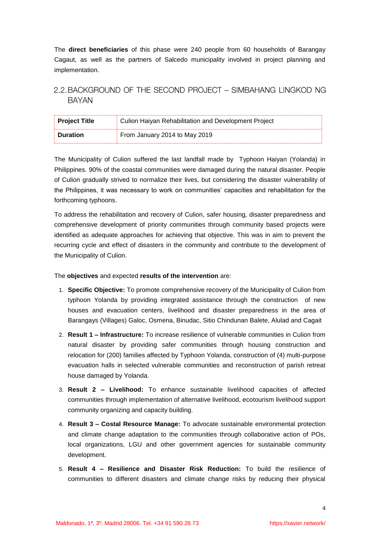The **direct beneficiaries** of this phase were 240 people from 60 households of Barangay Cagaut, as well as the partners of Salcedo municipality involved in project planning and implementation.

### 2.2. BACKGROUND OF THE SECOND PROJECT - SIMBAHANG LINGKOD NG **BAYAN**

| <b>Project Title</b> | Culion Haiyan Rehabilitation and Development Project |
|----------------------|------------------------------------------------------|
| <b>Duration</b>      | From January 2014 to May 2019                        |

The Municipality of Culion suffered the last landfall made by Typhoon Haiyan (Yolanda) in Philippines. 90% of the coastal communities were damaged during the natural disaster. People of Culion gradually strived to normalize their lives, but considering the disaster vulnerability of the Philippines, it was necessary to work on communities' capacities and rehabilitation for the forthcoming typhoons.

To address the rehabilitation and recovery of Culion, safer housing, disaster preparedness and comprehensive development of priority communities through community based projects were identified as adequate approaches for achieving that objective. This was in aim to prevent the recurring cycle and effect of disasters in the community and contribute to the development of the Municipality of Culion.

The **objectives** and expected **results of the intervention** are:

- 1. **Specific Objective:** To promote comprehensive recovery of the Municipality of Culion from typhoon Yolanda by providing integrated assistance through the construction of new houses and evacuation centers, livelihood and disaster preparedness in the area of Barangays (Villages) Galoc, Osmena, Binudac, Sitio Chindunan Balete, Alulad and Cagait
- 2. **Result 1 – Infrastructure:** To increase resilience of vulnerable communities in Culion from natural disaster by providing safer communities through housing construction and relocation for (200) families affected by Typhoon Yolanda, construction of (4) multi-purpose evacuation halls in selected vulnerable communities and reconstruction of parish retreat house damaged by Yolanda.
- 3. **Result 2 – Livelihood:** To enhance sustainable livelihood capacities of affected communities through implementation of alternative livelihood, ecotourism livelihood support community organizing and capacity building.
- 4. **Result 3 – Costal Resource Manage:** To advocate sustainable environmental protection and climate change adaptation to the communities through collaborative action of POs, local organizations, LGU and other government agencies for sustainable community development.
- 5. **Result 4 – Resilience and Disaster Risk Reduction:** To build the resilience of communities to different disasters and climate change risks by reducing their physical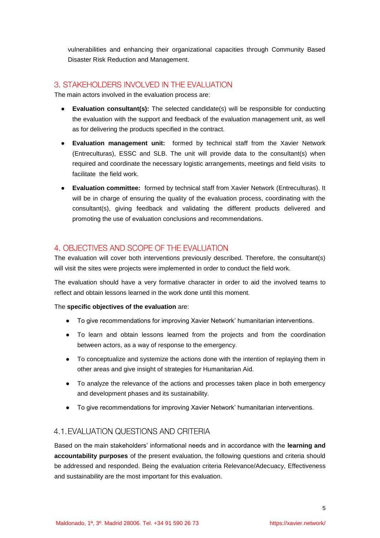vulnerabilities and enhancing their organizational capacities through Community Based Disaster Risk Reduction and Management.

### 3. STAKEHOLDERS INVOLVED IN THE EVALUATION

The main actors involved in the evaluation process are:

- **Evaluation consultant(s):** The selected candidate(s) will be responsible for conducting the evaluation with the support and feedback of the evaluation management unit, as well as for delivering the products specified in the contract.
- **Evaluation management unit:** formed by technical staff from the Xavier Network (Entreculturas), ESSC and SLB. The unit will provide data to the consultant(s) when required and coordinate the necessary logistic arrangements, meetings and field visits to facilitate the field work.
- **Evaluation committee:** formed by technical staff from Xavier Network (Entreculturas). It will be in charge of ensuring the quality of the evaluation process, coordinating with the consultant(s), giving feedback and validating the different products delivered and promoting the use of evaluation conclusions and recommendations.

### 4. OBJECTIVES AND SCOPE OF THE EVALUATION

The evaluation will cover both interventions previously described. Therefore, the consultant(s) will visit the sites were projects were implemented in order to conduct the field work.

The evaluation should have a very formative character in order to aid the involved teams to reflect and obtain lessons learned in the work done until this moment.

#### The **specific objectives of the evaluation** are:

- To give recommendations for improving Xavier Network' humanitarian interventions.
- To learn and obtain lessons learned from the projects and from the coordination between actors, as a way of response to the emergency.
- To conceptualize and systemize the actions done with the intention of replaying them in other areas and give insight of strategies for Humanitarian Aid.
- To analyze the relevance of the actions and processes taken place in both emergency and development phases and its sustainability.
- To give recommendations for improving Xavier Network' humanitarian interventions.

### 4.1. EVALUATION QUESTIONS AND CRITERIA

Based on the main stakeholders' informational needs and in accordance with the **learning and accountability purposes** of the present evaluation, the following questions and criteria should be addressed and responded. Being the evaluation criteria Relevance/Adecuacy, Effectiveness and sustainability are the most important for this evaluation.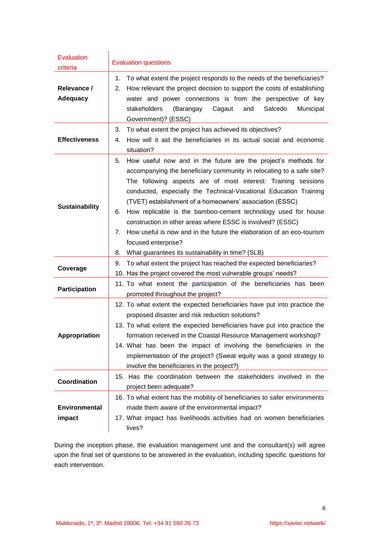| <b>Evaluation</b><br>criteria  | <b>Evaluation questions</b>                                                                                                                                                                                                                                                                                                                                                                                                                                                                                                                                                                                                                          |  |  |  |  |  |  |
|--------------------------------|------------------------------------------------------------------------------------------------------------------------------------------------------------------------------------------------------------------------------------------------------------------------------------------------------------------------------------------------------------------------------------------------------------------------------------------------------------------------------------------------------------------------------------------------------------------------------------------------------------------------------------------------------|--|--|--|--|--|--|
| Relevance /<br><b>Adequacy</b> | To what extent the project responds to the needs of the beneficiaries?<br>1.<br>How relevant the project decision to support the costs of establishing<br>2.<br>water and power connections is from the perspective of key<br>stakeholders<br>(Barangay<br>Cagaut<br>and<br>Salcedo<br>Municipal<br>Government)? (ESSC)                                                                                                                                                                                                                                                                                                                              |  |  |  |  |  |  |
| <b>Effectiveness</b>           | To what extent the project has achieved its objectives?<br>How will it aid the beneficiaries in its actual social and economic<br>situation?                                                                                                                                                                                                                                                                                                                                                                                                                                                                                                         |  |  |  |  |  |  |
| <b>Sustainability</b>          | How useful now and in the future are the project's methods for<br>5.<br>accompanying the beneficiary community in relocating to a safe site?<br>The following aspects are of most interest: Training sessions<br>conducted, especially the Technical-Vocational Education Training<br>(TVET) establishment of a homeowners' association (ESSC)<br>How replicable is the bamboo-cement technology used for house<br>6.<br>construction in other areas where ESSC is involved? (ESSC)<br>How useful is now and in the future the elaboration of an eco-tourism<br>7.<br>focused enterprise?<br>What guarantees its sustainability in time? (SLB)<br>8. |  |  |  |  |  |  |
| Coverage                       | To what extent the project has reached the expected beneficiaries?<br>9.<br>10. Has the project covered the most vulnerable groups' needs?                                                                                                                                                                                                                                                                                                                                                                                                                                                                                                           |  |  |  |  |  |  |
| <b>Participation</b>           | 11. To what extent the participation of the beneficiaries has been<br>promoted throughout the project?                                                                                                                                                                                                                                                                                                                                                                                                                                                                                                                                               |  |  |  |  |  |  |
| <b>Appropriation</b>           | 12. To what extent the expected beneficiaries have put into practice the<br>proposed disaster and risk reduction solutions?<br>13. To what extent the expected beneficiaries have put into practice the<br>formation received in the Coastal Resource Management workshop?<br>14. What has been the impact of involving the beneficiaries in the<br>implementation of the project? (Sweat equity was a good strategy to<br>involve the beneficiaries in the project?)                                                                                                                                                                                |  |  |  |  |  |  |
| <b>Coordination</b>            | 15. Has the coordination between the stakeholders involved in the<br>project been adequate?                                                                                                                                                                                                                                                                                                                                                                                                                                                                                                                                                          |  |  |  |  |  |  |
| Environmental<br>impact        | 16. To what extent has the mobility of beneficiaries to safer environments<br>made them aware of the environmental impact?<br>17. What impact has livelihoods activities had on women beneficiaries<br>lives?                                                                                                                                                                                                                                                                                                                                                                                                                                        |  |  |  |  |  |  |

During the inception phase, the evaluation management unit and the consultant(s) will agree upon the final set of questions to be answered in the evaluation, including specific questions for each intervention.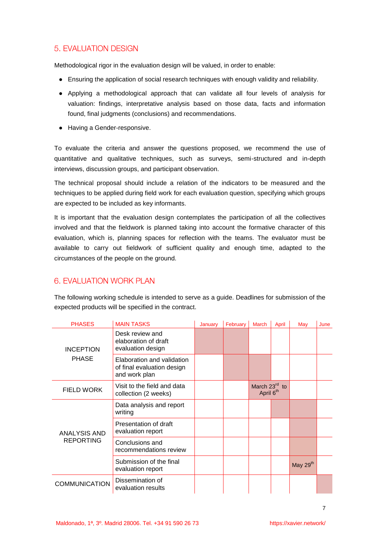### **5. EVALUATION DESIGN**

Methodological rigor in the evaluation design will be valued, in order to enable:

- Ensuring the application of social research techniques with enough validity and reliability.
- Applying a methodological approach that can validate all four levels of analysis for valuation: findings, interpretative analysis based on those data, facts and information found, final judgments (conclusions) and recommendations.
- Having a Gender-responsive.

To evaluate the criteria and answer the questions proposed, we recommend the use of quantitative and qualitative techniques, such as surveys, semi-structured and in-depth interviews, discussion groups, and participant observation.

The technical proposal should include a relation of the indicators to be measured and the techniques to be applied during field work for each evaluation question, specifying which groups are expected to be included as key informants.

It is important that the evaluation design contemplates the participation of all the collectives involved and that the fieldwork is planned taking into account the formative character of this evaluation, which is, planning spaces for reflection with the teams. The evaluator must be available to carry out fieldwork of sufficient quality and enough time, adapted to the circumstances of the people on the ground.

### 6. EVALUATION WORK PLAN

The following working schedule is intended to serve as a guide. Deadlines for submission of the expected products will be specified in the contract.

| <b>PHASES</b>                    | <b>MAIN TASKS</b>                                                         | January | February | <b>March</b>                                         | April | May      | June |
|----------------------------------|---------------------------------------------------------------------------|---------|----------|------------------------------------------------------|-------|----------|------|
| <b>INCEPTION</b><br><b>PHASE</b> | Desk review and<br>elaboration of draft<br>evaluation design              |         |          |                                                      |       |          |      |
|                                  | Elaboration and validation<br>of final evaluation design<br>and work plan |         |          |                                                      |       |          |      |
| <b>FIELD WORK</b>                | Visit to the field and data<br>collection (2 weeks)                       |         |          | March 23rd<br>$\mathsf{to}$<br>April 6 <sup>th</sup> |       |          |      |
| ANALYSIS AND<br><b>REPORTING</b> | Data analysis and report<br>writing                                       |         |          |                                                      |       |          |      |
|                                  | Presentation of draft<br>evaluation report                                |         |          |                                                      |       |          |      |
|                                  | Conclusions and<br>recommendations review                                 |         |          |                                                      |       |          |      |
|                                  | Submission of the final<br>evaluation report                              |         |          |                                                      |       | May 29th |      |
| <b>COMMUNICATION</b>             | Dissemination of<br>evaluation results                                    |         |          |                                                      |       |          |      |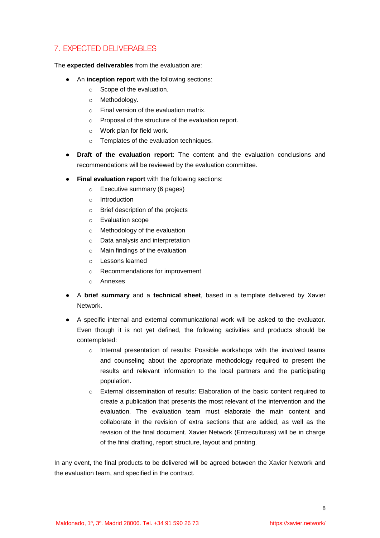# 7. EXPECTED DELIVERABLES

The **expected deliverables** from the evaluation are:

- An **inception report** with the following sections:
	- o Scope of the evaluation.
	- o Methodology.
	- o Final version of the evaluation matrix.
	- o Proposal of the structure of the evaluation report.
	- o Work plan for field work.
	- o Templates of the evaluation techniques.
- **Draft of the evaluation report**: The content and the evaluation conclusions and recommendations will be reviewed by the evaluation committee.
- **Final evaluation report** with the following sections:
	- o Executive summary (6 pages)
	- o Introduction
	- o Brief description of the projects
	- o Evaluation scope
	- o Methodology of the evaluation
	- o Data analysis and interpretation
	- o Main findings of the evaluation
	- o Lessons learned
	- o Recommendations for improvement
	- o Annexes
- A **brief summary** and a **technical sheet**, based in a template delivered by Xavier Network.
- A specific internal and external communicational work will be asked to the evaluator. Even though it is not yet defined, the following activities and products should be contemplated:
	- o Internal presentation of results: Possible workshops with the involved teams and counseling about the appropriate methodology required to present the results and relevant information to the local partners and the participating population.
	- o External dissemination of results: Elaboration of the basic content required to create a publication that presents the most relevant of the intervention and the evaluation. The evaluation team must elaborate the main content and collaborate in the revision of extra sections that are added, as well as the revision of the final document. Xavier Network (Entreculturas) will be in charge of the final drafting, report structure, layout and printing.

In any event, the final products to be delivered will be agreed between the Xavier Network and the evaluation team, and specified in the contract.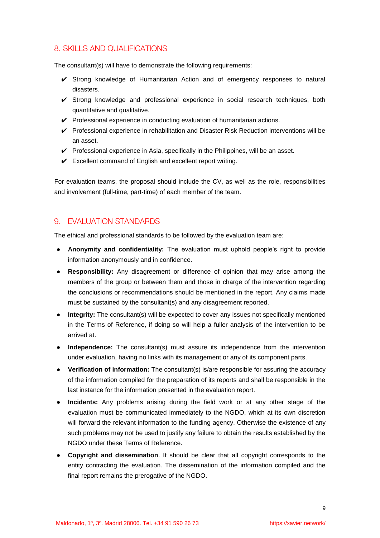# 8. SKILLS AND QUALIFICATIONS

The consultant(s) will have to demonstrate the following requirements:

- ✔ Strong knowledge of Humanitarian Action and of emergency responses to natural disasters.
- ✔ Strong knowledge and professional experience in social research techniques, both quantitative and qualitative.
- ✔ Professional experience in conducting evaluation of humanitarian actions.
- $\vee$  Professional experience in rehabilitation and Disaster Risk Reduction interventions will be an asset.
- $\checkmark$  Professional experience in Asia, specifically in the Philippines, will be an asset.
- $\checkmark$  Excellent command of English and excellent report writing.

For evaluation teams, the proposal should include the CV, as well as the role, responsibilities and involvement (full-time, part-time) of each member of the team.

### 9. EVALUATION STANDARDS

The ethical and professional standards to be followed by the evaluation team are:

- **Anonymity and confidentiality:** The evaluation must uphold people's right to provide information anonymously and in confidence.
- **Responsibility:** Any disagreement or difference of opinion that may arise among the members of the group or between them and those in charge of the intervention regarding the conclusions or recommendations should be mentioned in the report. Any claims made must be sustained by the consultant(s) and any disagreement reported.
- **Integrity:** The consultant(s) will be expected to cover any issues not specifically mentioned in the Terms of Reference, if doing so will help a fuller analysis of the intervention to be arrived at.
- **Independence:** The consultant(s) must assure its independence from the intervention under evaluation, having no links with its management or any of its component parts.
- **Verification of information:** The consultant(s) is/are responsible for assuring the accuracy of the information compiled for the preparation of its reports and shall be responsible in the last instance for the information presented in the evaluation report.
- **Incidents:** Any problems arising during the field work or at any other stage of the evaluation must be communicated immediately to the NGDO, which at its own discretion will forward the relevant information to the funding agency. Otherwise the existence of any such problems may not be used to justify any failure to obtain the results established by the NGDO under these Terms of Reference.
- **Copyright and dissemination**. It should be clear that all copyright corresponds to the entity contracting the evaluation. The dissemination of the information compiled and the final report remains the prerogative of the NGDO.